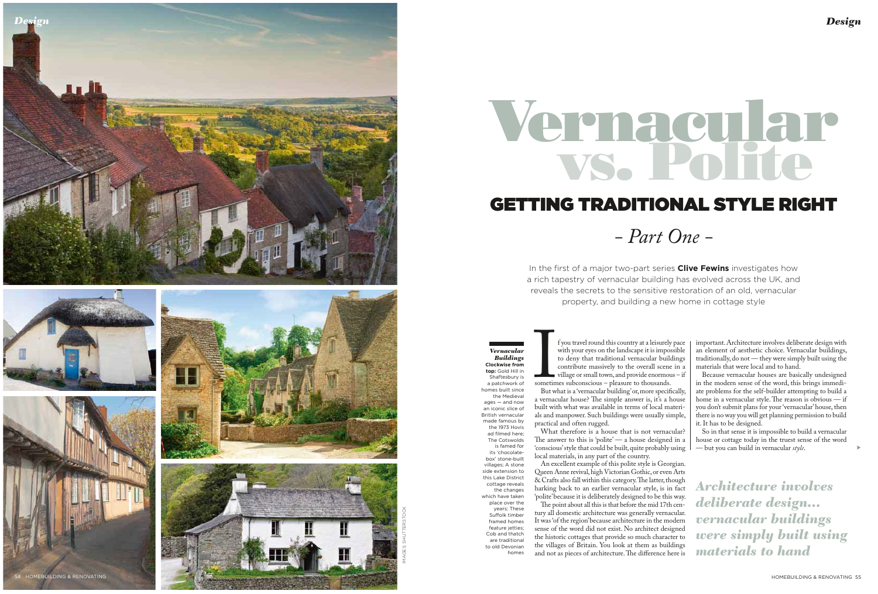In the first of a major two-part series **Clive Fewins** investigates how a rich tapestry of vernacular building has evolved across the UK, and reveals the secrets to the sensitive restoration of an old, vernacular property, and building a new home in cottage style

sometimes subconscious – pleasure to thousands. But what is a 'vernacular building' or, more specifically, a vernacular house? The simple answer is, it's a house built with what was available in terms of local materials and manpower. Such buildings were usually simple, practical and often rugged.

What therefore is a house that is not vernacular? The answer to this is 'polite' — a house designed in a 'conscious' style that could be built, quite probably using local materials, in any part of the country.

An excellent example of this polite style is Georgian. Queen Anne revival, high Victorian Gothic, or even Arts & Crafts also fall within this category. The latter, though harking back to an earlier vernacular style, is in fact 'polite' because it is deliberately designed to be this way. The point about all this is that before the mid 17th century all domestic architecture was generally vernacular. It was 'of the region' because architecture in the modern sense of the word did not exist. No architect designed the historic cottages that provide so much character to the villages of Britain. You look at them as buildings and not as pieces of architecture. The difference here is



important. Architecture involves deliberate design with an element of aesthetic choice. Vernacular buildings, traditionally, do not — they were simply built using the materials that were local and to hand.

Because vernacular houses are basically undesigned in the modern sense of the word, this brings immediate problems for the self-builder attempting to build a home in a vernacular style. The reason is obvious — if you don't submit plans for your 'vernacular' house, then there is no way you will get planning permission to build it. It has to be designed.

So in that sense it is impossible to build a vernacular house or cottage today in the truest sense of the word — but you can build in vernacular *style* .

*Vernacular Buildings*  **Clockwise from top:** Gold Hill in Shaftesbury is a patchwork of homes built since the Medieval ages — and now an iconic slice of British vernacular made famous by the 1973 Hovis ad filmed here; The Cotswolds is famed for its 'chocolatebox' stone-built villages; A stone side extension to this Lake District cottage reveals the changes which have taken place over the years; These Suffolk timber framed homes feature jetties; Cob and thatch

> are traditional to old Devonian homes

Sometim<br>But w f you travel round this country at a leisurely pace with your eyes on the landscape it is impossible to deny that traditional vernacular buildings contribute massively to the overall scene in a village or small town, and provide enormous - if

▲

*Architecture involves deliberate design… vernacular buildings were simply built using materials to hand*

# *- Part One -* **Vernacular vs. Polite** GETTING TRADITIONAL STYLE RIGHT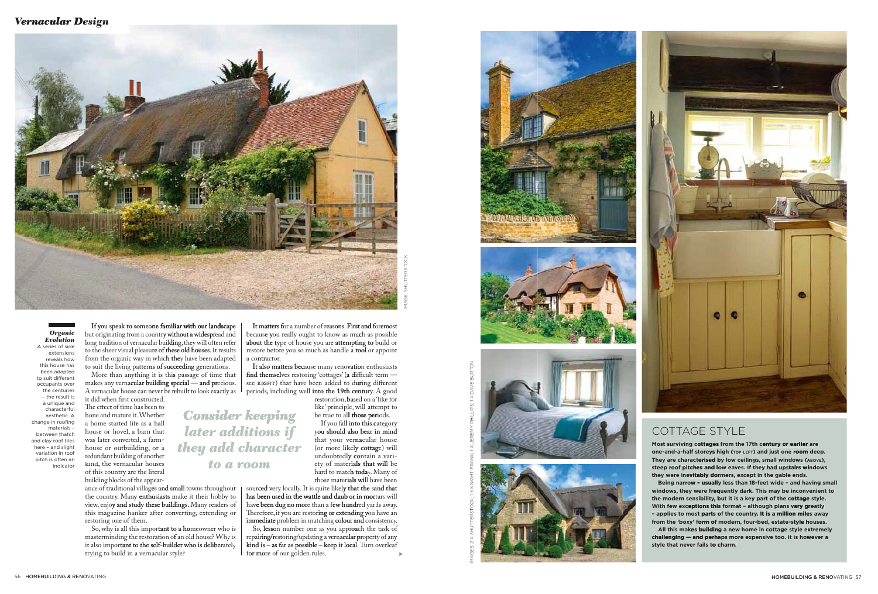masterminding the restoration of f an old house? Why is trying to build in a vernacular style? it also important to the self-builder who is deliberately So, why is all this important to a homeowner who is

like' principle, will attempt to be true to all those periods. restoration, **bas**ed on a 'like for those materials will have been hard to matc**h toda**y. Many of ety of materials that will be undoubtedly contain a vari-(or more likely cottage) will that your vernacular house If you fall into this category<br>you should also bear in mind If you fall into this category

hav**e been dug no mor**e than a fe**w hundr**ed yards away. has been used in the wattle and daub or in mor mortars will those materials will have been<br>sourced very locally. It is quite likely that the sand that immediate problem in matching colour and consistency. Therefore, if you are restoring or extending you have an

So, lesson number one as you approach the task of kind is – as far as possible – keep it local. Turn overleaf for more of our golden rules. repairing/restoring/updating a vernacular property of any







## COTTAGE STYLE

**Most surviving cottages from the 17th century or earlier are<br>one-and-a-half storeys high (דסף נפרד) and just one room deep.** Most surviving cottages from the 17th century or earlier are **They are characterised by low ceilings, small windows (ABOVE),** With few exceptions this format - although plans vary greatly the modern sensibility, but it is a key part of the cottage style. windows, they were frequently dark. This may be inconvenient to Being narrow - usually less than 18-feet wide - and having small they were inevitably dormers, except in the gable ends. steep roof pitches and low eaves. If they had upstairs windows<br>they were inevitably dormers, except in the gable ends.<br>Being narrow – usually less than 18-feet wide – and having sn **style that never fails to charm. challenging — and perhaps more expensive too. It is however a<br>style that never fails t<b>o** charm. All this makes building a new home in cottage style extremely – applies to most parts of the country. It is a million miles away<br>from the 'boxy' form of modern, four-bed, estate-style houses. **- applies to most parts of the country. It is a million miles a** 

#### *Vernacular De ernacular Design*



 $\geq$ OC TTTERS  $\overline{\phantom{0}}$ GE: SH ≸

A vernacular house can never be rebuilt to look exactly as makes any vernacular building special — and precious. More than anything it is this s passage of time that

it did when first constructed.

 hone and mature it.Whether The effect of time has been to of this country are the literal kind, the vernacular houses redundant building of another house or outbuilding, or a was later converted, a farmhouse or hovel, a barn that a home started life as a hall

to suit the living patterns of succeeding generations.

aesthetic. A characterful a unique and — the result is the centuries occupants over to suit different been adapted this house has reveals how extensions A series of side *Evolution Organic*  indicator pitch is often an variation in roof here – and slight and clay roof tiles between thatch materials – change in roofing

If you speak to someone familiar with our landscape  $\quad \vert$  It matters f from the organic way in whic**h the**y have been adapted to the sheer visual pleasur**e of these old houses. I**t results long tradition of vernacular buil**ding,** they will often refer but originating from a countr**y without a widespr**ead and

> *Consider keeping to a room they add character later additions if*

view, enjo**y and study these buildings.** Many readers of the country. Many enthusiasts make it their hobby to ance of traditional villages and small towns throughout restoring one of them. this magazine hanker after converting, extending or

building blocks of the appear-

atters for a number of reasons. First and foremost a contractor. restore before you so much as handle a tool or appoint about the t type of house you are attempting to build or becaus**e y**ou really ought to know as m**uc**h as possible

periods, including well into the 19th century. A good see right) that have been added to during different find themselves restoring 'cottages' (a difficult term — It also matters because many renovation enthusiasts

; 1 X JEREMY K

GHT FRAN

: 1 X KN  $\scriptstyle\leq$ OC  $\vdash$ 

▲

T TRUVE B AS; 1 X D  $\mathbf{\underline{\scriptscriptstyle{P}}}$  $\exists$ I

굳

TTERS U

GES: 2 X SH

ş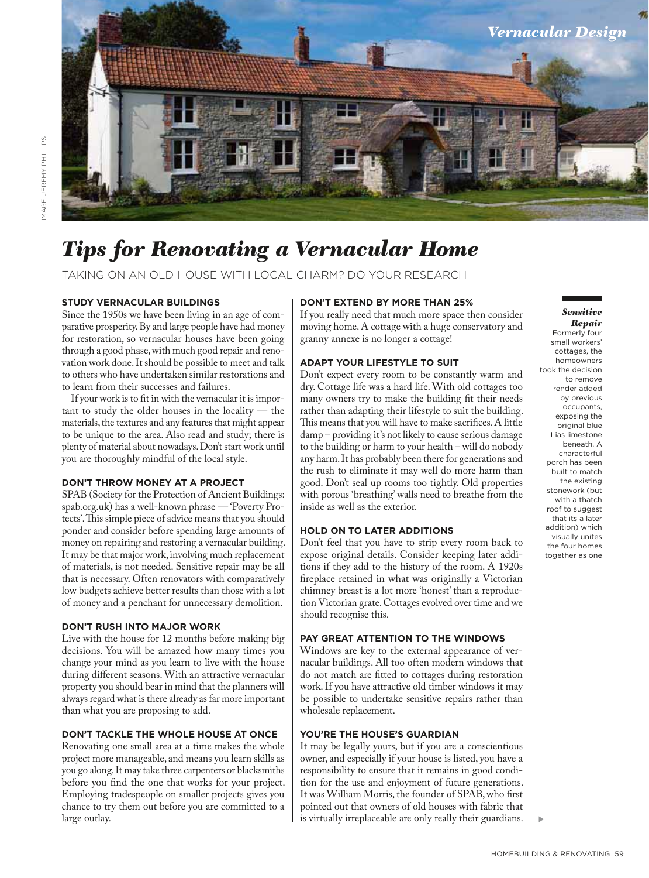

## *Tips for Renovating a Vernacular Home*

TAKING ON AN OLD HOUSE WITH LOCAL CHARM? DO YOUR RESEARCH

#### **STUDY VERNACULAR BUILDINGS**

Since the 1950s we have been living in an age of comparative prosperity. By and large people have had money for restoration, so vernacular houses have been going through a good phase, with much good repair and renovation work done. It should be possible to meet and talk to others who have undertaken similar restorations and to learn from their successes and failures.

If your work is to fit in with the vernacular it is important to study the older houses in the locality — the materials, the textures and any features that might appear to be unique to the area. Also read and study; there is plenty of material about nowadays. Don't start work until you are thoroughly mindful of the local style.

#### **DON'T THROW MONEY AT A PROJECT**

SPAB (Society for the Protection of Ancient Buildings: spab.org.uk) has a well-known phrase — 'Poverty Protects'. This simple piece of advice means that you should ponder and consider before spending large amounts of money on repairing and restoring a vernacular building. It may be that major work, involving much replacement of materials, is not needed. Sensitive repair may be all that is necessary. Often renovators with comparatively low budgets achieve better results than those with a lot of money and a penchant for unnecessary demolition.

#### **DON'T RUSH INTO MAJOR WORK**

Live with the house for 12 months before making big decisions. You will be amazed how many times you change your mind as you learn to live with the house during different seasons. With an attractive vernacular property you should bear in mind that the planners will always regard what is there already as far more important than what you are proposing to add.

#### **DON'T TACKLE THE WHOLE HOUSE AT ONCE**

Renovating one small area at a time makes the whole project more manageable, and means you learn skills as you go along. It may take three carpenters or blacksmiths before you find the one that works for your project. Employing tradespeople on smaller projects gives you chance to try them out before you are committed to a large outlay.

#### **DON'T EXTEND BY MORE THAN 25%**

If you really need that much more space then consider moving home. A cottage with a huge conservatory and granny annexe is no longer a cottage!

#### **ADAPT YOUR LIFESTYLE TO SUIT**

Don't expect every room to be constantly warm and dry. Cottage life was a hard life. With old cottages too many owners try to make the building fit their needs rather than adapting their lifestyle to suit the building. This means that you will have to make sacrifices. A little damp – providing it's not likely to cause serious damage to the building or harm to your health – will do nobody any harm. It has probably been there for generations and the rush to eliminate it may well do more harm than good. Don't seal up rooms too tightly. Old properties with porous 'breathing' walls need to breathe from the inside as well as the exterior.

#### **HOLD ON TO LATER ADDITIONS**

Don't feel that you have to strip every room back to expose original details. Consider keeping later additions if they add to the history of the room. A 1920s fireplace retained in what was originally a Victorian chimney breast is a lot more 'honest' than a reproduction Victorian grate. Cottages evolved over time and we should recognise this.

#### **PAY GREAT ATTENTION TO THE WINDOWS**

Windows are key to the external appearance of vernacular buildings. All too often modern windows that do not match are fitted to cottages during restoration work. If you have attractive old timber windows it may be possible to undertake sensitive repairs rather than wholesale replacement.

#### **YOU'RE THE HOUSE'S GUARDIAN**

It may be legally yours, but if you are a conscientious owner, and especially if your house is listed, you have a responsibility to ensure that it remains in good condition for the use and enjoyment of future generations. It was William Morris, the founder of SPAB, who first pointed out that owners of old houses with fabric that is virtually irreplaceable are only really their guardians.

#### *Sensitive Repair*

Formerly four small workers' cottages, the homeowners took the decision to remove render added by previous occupants, exposing the original blue Lias limestone beneath. A characterful porch has been built to match the existing stonework (but with a thatch roof to suggest that its a later addition) which visually unites the four homes together as one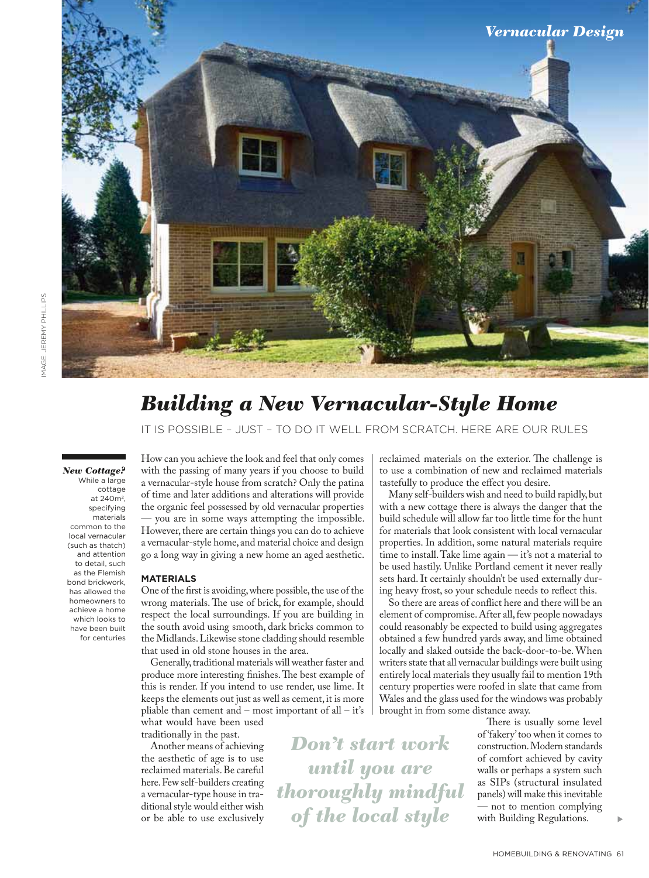

## *Building a New Vernacular-Style Home*

IT IS POSSIBLE – JUST – TO DO IT WELL FROM SCRATCH. HERE ARE OUR RULES

*Don't start work* 

*until you are* 

*thoroughly mindful* 

*of the local style*

*New Cottage?* While a large cottage at 240m2, specifying materials common to the local vernacular (such as thatch) and attention to detail, such as the Flemish bond brickwork, has allowed the homeowners to achieve a home which looks to have been built for centuries

How can you achieve the look and feel that only comes with the passing of many years if you choose to build a vernacular-style house from scratch? Only the patina of time and later additions and alterations will provide the organic feel possessed by old vernacular properties — you are in some ways attempting the impossible. However, there are certain things you can do to achieve a vernacular-style home, and material choice and design go a long way in giving a new home an aged aesthetic.

#### **MATERIALS**

One of the first is avoiding, where possible, the use of the wrong materials. The use of brick, for example, should respect the local surroundings. If you are building in the south avoid using smooth, dark bricks common to the Midlands. Likewise stone cladding should resemble that used in old stone houses in the area.

Generally, traditional materials will weather faster and produce more interesting finishes. The best example of this is render. If you intend to use render, use lime. It keeps the elements out just as well as cement, it is more pliable than cement and – most important of all – it's what would have been used

traditionally in the past.

Another means of achieving the aesthetic of age is to use reclaimed materials. Be careful here. Few self-builders creating a vernacular-type house in traditional style would either wish or be able to use exclusively reclaimed materials on the exterior. The challenge is to use a combination of new and reclaimed materials tastefully to produce the effect you desire.

Many self-builders wish and need to build rapidly, but with a new cottage there is always the danger that the build schedule will allow far too little time for the hunt for materials that look consistent with local vernacular properties. In addition, some natural materials require time to install. Take lime again — it's not a material to be used hastily. Unlike Portland cement it never really sets hard. It certainly shouldn't be used externally during heavy frost, so your schedule needs to reflect this.

So there are areas of conflict here and there will be an element of compromise. After all, few people nowadays could reasonably be expected to build using aggregates obtained a few hundred yards away, and lime obtained locally and slaked outside the back-door-to-be. When writers state that all vernacular buildings were built using entirely local materials they usually fail to mention 19th century properties were roofed in slate that came from Wales and the glass used for the windows was probably brought in from some distance away.

> There is usually some level of 'fakery' too when it comes to construction. Modern standards of comfort achieved by cavity walls or perhaps a system such as SIPs (structural insulated panels) will make this inevitable — not to mention complying with Building Regulations.